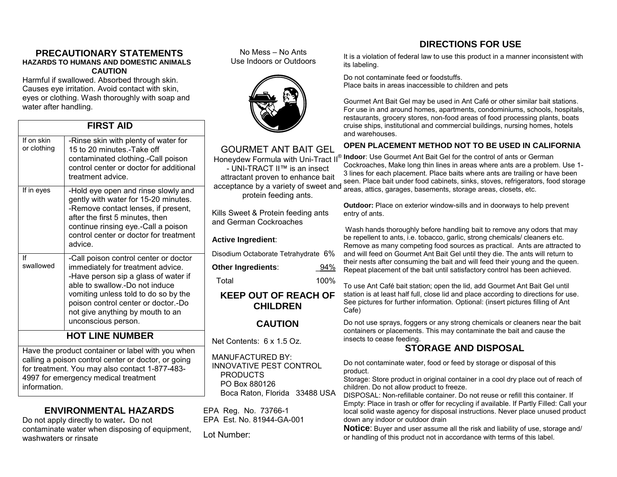#### **PRECAUTIONARY STATEMENTS HAZARDS TO HUMANS AND DOMESTIC ANIMALS CAUTION**

Harmful if swallowed. Absorbed through skin. Causes eye irritation. Avoid contact with skin, eyes or clothing. Wash thoroughly with soap and water after handling.

#### **FIRST AID**

| If on skin<br>or clothing                                                                                | -Rinse skin with plenty of water for<br>15 to 20 minutes.-Take off<br>contaminated clothing.-Call poison<br>control center or doctor for additional<br>treatment advice.                                                                                                                       |
|----------------------------------------------------------------------------------------------------------|------------------------------------------------------------------------------------------------------------------------------------------------------------------------------------------------------------------------------------------------------------------------------------------------|
| If in eyes                                                                                               | -Hold eye open and rinse slowly and<br>gently with water for 15-20 minutes.<br>-Remove contact lenses, if present,<br>after the first 5 minutes, then<br>continue rinsing eye.-Call a poison<br>control center or doctor for treatment<br>advice.                                              |
| lf<br>swallowed                                                                                          | -Call poison control center or doctor<br>immediately for treatment advice.<br>-Have person sip a glass of water if<br>able to swallow.-Do not induce<br>vomiting unless told to do so by the<br>poison control center or doctor.-Do<br>not give anything by mouth to an<br>unconscious person. |
| <b>HOT LINE NUMBER</b>                                                                                   |                                                                                                                                                                                                                                                                                                |
| Have the product container or label with you when<br>calling a poison control center or doctor, or going |                                                                                                                                                                                                                                                                                                |

for treatment. You may also contact 1-877-483- 4997 for emergency medical treatment information.

#### **ENVIRONMENTAL HAZARDS**

Do not apply directly to water**.** Do not contaminate water when disposing of equipment, washwaters or rinsate

No Mess – No Ants Use Indoors or Outdoors



### GOURMET ANT BAIT GEL

- UNI-TRACT II™ is an insect attractant proven to enhance bait acceptance by a variety of sweet and protein feeding ants.

Kills Sweet & Protein feeding ants and German Cockroaches

#### **Active Ingredient**:

Disodium Octaborate Tetrahydrate 6%

**Other Ingredients:**  $94\%$ 

Total 100%

#### **KEEP OUT OF REACH OF CHILDREN**

#### **CAUTION**

Net Contents: 6 x 1.5 Oz.

MANUFACTURED BY: INNOVATIVE PEST CONTROL PRODUCTS PO Box 880126 Boca Raton, Florida 33488 USA

EPA Reg. No. 73766-1 EPA Est. No. 81944-GA-001

Lot Number:

It is a violation of federal law to use this product in a manner inconsistent with its labeling.

Do not contaminate feed or foodstuffs. Place baits in areas inaccessible to children and pets

Gourmet Ant Bait Gel may be used in Ant Café or other similar bait stations. For use in and around homes, apartments, condominiums, schools, hospitals, restaurants, grocery stores, non-food areas of food processing plants, boats cruise ships, institutional and commercial buildings, nursing homes, hotels and warehouses.

#### **OPEN PLACEMENT METHOD NOT TO BE USED IN CALIFORNIA**

Honeydew Formula with Uni-Tract II<sup>®</sup> Indoor: Use Gourmet Ant Bait Gel for the control of ants or German Cockroaches, Make long thin lines in areas where ants are a problem. Use 1- 3 lines for each placement. Place baits where ants are trailing or have been seen. Place bait under food cabinets, sinks, stoves, refrigerators, food storage areas, attics, garages, basements, storage areas, closets, etc.

> **Outdoor:** Place on exterior window-sills and in doorways to help prevent entry of ants.

 Wash hands thoroughly before handling bait to remove any odors that may be repellent to ants, i.e. tobacco, garlic, strong chemicals/ cleaners etc. Remove as many competing food sources as practical. Ants are attracted to and will feed on Gourmet Ant Bait Gel until they die. The ants will return to their nests after consuming the bait and will feed their young and the queen. Repeat placement of the bait until satisfactory control has been achieved.

To use Ant Café bait station; open the lid, add Gourmet Ant Bait Gel until station is at least half full, close lid and place according to directions for use. See pictures for further information. Optional: (insert pictures filling of Ant Cafe)

Do not use sprays, foggers or any strong chemicals or cleaners near the bait containers or placements. This may contaminate the bait and cause the insects to cease feeding.

#### **STORAGE AND DISPOSAL**

Do not contaminate water, food or feed by storage or disposal of this product.

Storage: Store product in original container in a cool dry place out of reach of children. Do not allow product to freeze.

DISPOSAL: Non-refillable container. Do not reuse or refill this container. If Empty: Place in trash or offer for recycling if available. If Partly Filled: Call your local solid waste agency for disposal instructions. Never place unused product down any indoor or outdoor drain

**Notice**: Buyer and user assume all the risk and liability of use, storage and/ or handling of this product not in accordance with terms of this label.

## **DIRECTIONS FOR USE**